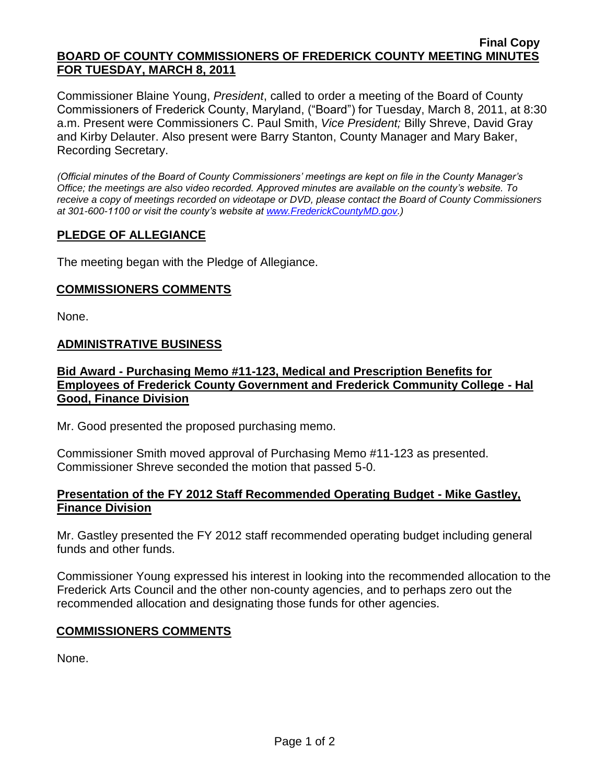#### **Final Copy BOARD OF COUNTY COMMISSIONERS OF FREDERICK COUNTY MEETING MINUTES FOR TUESDAY, MARCH 8, 2011**

Commissioner Blaine Young, *President*, called to order a meeting of the Board of County Commissioners of Frederick County, Maryland, ("Board") for Tuesday, March 8, 2011, at 8:30 a.m. Present were Commissioners C. Paul Smith, *Vice President;* Billy Shreve, David Gray and Kirby Delauter. Also present were Barry Stanton, County Manager and Mary Baker, Recording Secretary.

*(Official minutes of the Board of County Commissioners' meetings are kept on file in the County Manager's Office; the meetings are also video recorded. Approved minutes are available on the county's website. To receive a copy of meetings recorded on videotape or DVD, please contact the Board of County Commissioners at 301-600-1100 or visit the county's website at [www.FrederickCountyMD.gov.](http://www.frederickcountymd.gov/))*

### **PLEDGE OF ALLEGIANCE**

The meeting began with the Pledge of Allegiance.

### **COMMISSIONERS COMMENTS**

None.

#### **ADMINISTRATIVE BUSINESS**

**Bid Award - Purchasing Memo #11-123, Medical and Prescription Benefits for Employees of Frederick County Government and Frederick Community College - Hal Good, Finance Division**

Mr. Good presented the proposed purchasing memo.

Commissioner Smith moved approval of Purchasing Memo #11-123 as presented. Commissioner Shreve seconded the motion that passed 5-0.

### **Presentation of the FY 2012 Staff Recommended Operating Budget - Mike Gastley, Finance Division**

Mr. Gastley presented the FY 2012 staff recommended operating budget including general funds and other funds.

Commissioner Young expressed his interest in looking into the recommended allocation to the Frederick Arts Council and the other non-county agencies, and to perhaps zero out the recommended allocation and designating those funds for other agencies.

### **COMMISSIONERS COMMENTS**

None.